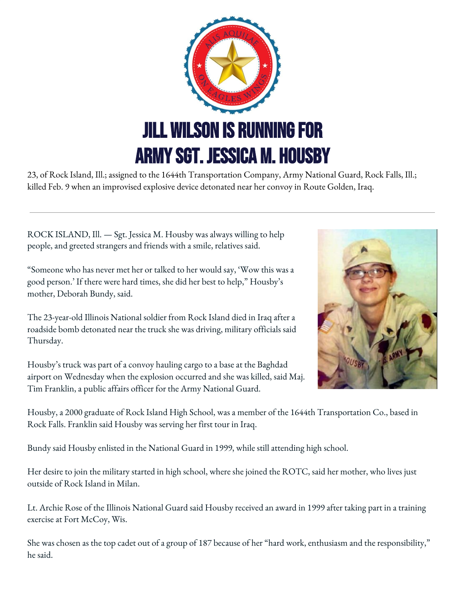

23, of Rock Island, Ill.; assigned to the 1644th Transportation Company, Army National Guard, Rock Falls, Ill.; killed Feb. 9 when an improvised explosive device detonated near her convoy in Route Golden, Iraq.

ROCK ISLAND, Ill. — Sgt. Jessica M. Housby was always willing to help people, and greeted strangers and friends with a smile, relatives said.

"Someone who has never met her or talked to her would say, 'Wow this was a good person.' If there were hard times, she did her best to help," Housby's mother, Deborah Bundy, said.

The 23-year-old Illinois National soldier from Rock Island died in Iraq after a roadside bomb detonated near the truck she was driving, military officials said Thursday.

Housby's truck was part of a convoy hauling cargo to a base at the Baghdad airport on Wednesday when the explosion occurred and she was killed, said Maj. Tim Franklin, a public affairs officer for the Army National Guard.



Housby, a 2000 graduate of Rock Island High School, was a member of the 1644th Transportation Co., based in Rock Falls. Franklin said Housby was serving her first tour in Iraq.

Bundy said Housby enlisted in the National Guard in 1999, while still attending high school.

Her desire to join the military started in high school, where she joined the ROTC, said her mother, who lives just outside of Rock Island in Milan.

Lt. Archie Rose of the Illinois National Guard said Housby received an award in 1999 after taking part in a training exercise at Fort McCoy, Wis.

She was chosen as the top cadet out of a group of 187 because of her "hard work, enthusiasm and the responsibility," he said.